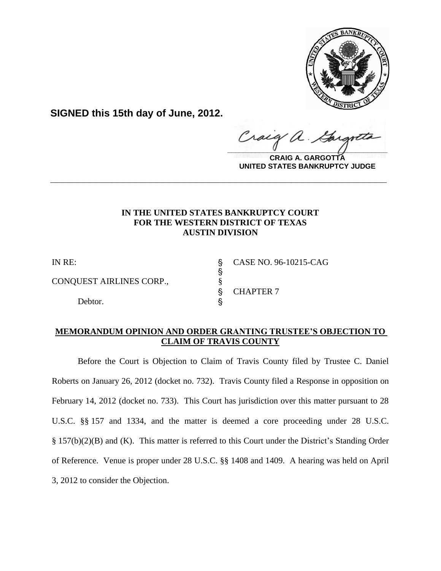

**SIGNED this 15th day of June, 2012.**

raig  $\frac{1}{2}$ 

**CRAIG A. GARGOTTA UNITED STATES BANKRUPTCY JUDGE**

# **IN THE UNITED STATES BANKRUPTCY COURT FOR THE WESTERN DISTRICT OF TEXAS AUSTIN DIVISION**

**\_\_\_\_\_\_\_\_\_\_\_\_\_\_\_\_\_\_\_\_\_\_\_\_\_\_\_\_\_\_\_\_\_\_\_\_\_\_\_\_\_\_\_\_\_\_\_\_\_\_\_\_\_\_\_\_\_\_\_\_**

s<br>S

CONQUEST AIRLINES CORP.,  $\S$ 

Debtor.

IN RE: ' CASE NO. 96-10215-CAG ' CHAPTER 7

# **MEMORANDUM OPINION AND ORDER GRANTING TRUSTEE'S OBJECTION TO CLAIM OF TRAVIS COUNTY**

Before the Court is Objection to Claim of Travis County filed by Trustee C. Daniel Roberts on January 26, 2012 (docket no. 732). Travis County filed a Response in opposition on February 14, 2012 (docket no. 733). This Court has jurisdiction over this matter pursuant to 28 U.S.C. §§ 157 and 1334, and the matter is deemed a core proceeding under 28 U.S.C. § 157(b)(2)(B) and (K). This matter is referred to this Court under the District's Standing Order of Reference. Venue is proper under 28 U.S.C. §§ 1408 and 1409.A hearing was held on April 3, 2012 to consider the Objection.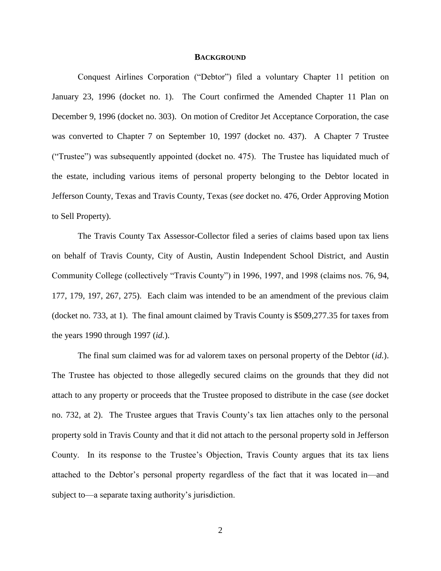#### **BACKGROUND**

Conquest Airlines Corporation ("Debtor") filed a voluntary Chapter 11 petition on January 23, 1996 (docket no. 1). The Court confirmed the Amended Chapter 11 Plan on December 9, 1996 (docket no. 303). On motion of Creditor Jet Acceptance Corporation, the case was converted to Chapter 7 on September 10, 1997 (docket no. 437). A Chapter 7 Trustee ("Trustee") was subsequently appointed (docket no. 475). The Trustee has liquidated much of the estate, including various items of personal property belonging to the Debtor located in Jefferson County, Texas and Travis County, Texas (*see* docket no. 476, Order Approving Motion to Sell Property).

The Travis County Tax Assessor-Collector filed a series of claims based upon tax liens on behalf of Travis County, City of Austin, Austin Independent School District, and Austin Community College (collectively "Travis County") in 1996, 1997, and 1998 (claims nos. 76, 94, 177, 179, 197, 267, 275). Each claim was intended to be an amendment of the previous claim (docket no. 733, at 1). The final amount claimed by Travis County is \$509,277.35 for taxes from the years 1990 through 1997 (*id.*).

The final sum claimed was for ad valorem taxes on personal property of the Debtor (*id.*). The Trustee has objected to those allegedly secured claims on the grounds that they did not attach to any property or proceeds that the Trustee proposed to distribute in the case (*see* docket no. 732, at 2). The Trustee argues that Travis County's tax lien attaches only to the personal property sold in Travis County and that it did not attach to the personal property sold in Jefferson County. In its response to the Trustee's Objection, Travis County argues that its tax liens attached to the Debtor's personal property regardless of the fact that it was located in—and subject to—a separate taxing authority's jurisdiction.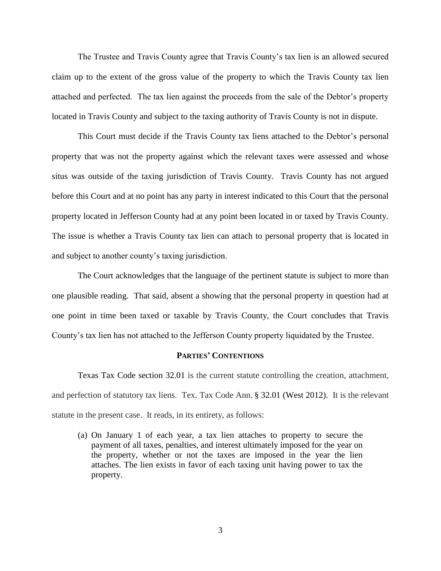The Trustee and Travis County agree that Travis County's tax lien is an allowed secured claim up to the extent of the gross value of the property to which the Travis County tax lien attached and perfected. The tax lien against the proceeds from the sale of the Debtor's property located in Travis County and subject to the taxing authority of Travis County is not in dispute.

This Court must decide if the Travis County tax liens attached to the Debtor's personal property that was not the property against which the relevant taxes were assessed and whose situs was outside of the taxing jurisdiction of Travis County. Travis County has not argued before this Court and at no point has any party in interest indicated to this Court that the personal property located in Jefferson County had at any point been located in or taxed by Travis County. The issue is whether a Travis County tax lien can attach to personal property that is located in and subject to another county's taxing jurisdiction.

The Court acknowledges that the language of the pertinent statute is subject to more than one plausible reading. That said, absent a showing that the personal property in question had at one point in time been taxed or taxable by Travis County, the Court concludes that Travis County's tax lien has not attached to the Jefferson County property liquidated by the Trustee.

#### **PARTIES' CONTENTIONS**

Texas Tax Code section 32.01 is the current statute controlling the creation, attachment, and perfection of statutory tax liens. Tex. Tax Code Ann. § 32.01 (West 2012). It is the relevant statute in the present case. It reads, in its entirety, as follows:

(a) On January 1 of each year, a tax lien attaches to property to secure the payment of all taxes, penalties, and interest ultimately imposed for the year on the property, whether or not the taxes are imposed in the year the lien attaches. The lien exists in favor of each taxing unit having power to tax the property.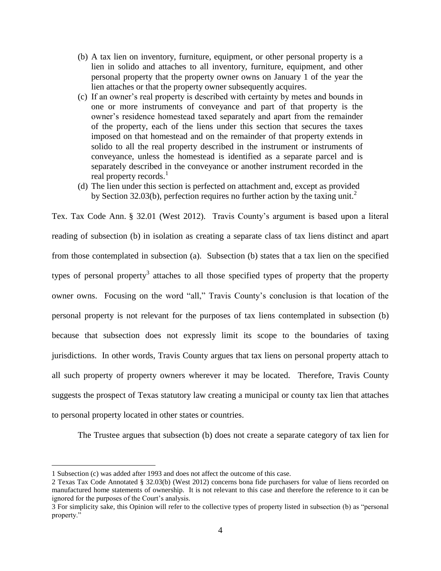- (b) A tax lien on inventory, furniture, equipment, or other personal property is a lien in solido and attaches to all inventory, furniture, equipment, and other personal property that the property owner owns on January 1 of the year the lien attaches or that the property owner subsequently acquires.
- (c) If an owner's real property is described with certainty by metes and bounds in one or more instruments of conveyance and part of that property is the owner's residence homestead taxed separately and apart from the remainder of the property, each of the liens under this section that secures the taxes imposed on that homestead and on the remainder of that property extends in solido to all the real property described in the instrument or instruments of conveyance, unless the homestead is identified as a separate parcel and is separately described in the conveyance or another instrument recorded in the real property records. $<sup>1</sup>$ </sup>
- (d) The lien under this section is perfected on attachment and, except as provided by [Section 32.03\(b\),](http://www.westlaw.com/Link/Document/FullText?findType=L&pubNum=1000185&cite=TXTXS32.03&originatingDoc=N9447AC40BE7011D9BDF79F56AB79CECB&refType=SP&originationContext=document&vr=3.0&rs=cblt1.0&transitionType=DocumentItem&contextData=(sc.Category)#co_pp_a83b000018c76) perfection requires no further action by the taxing unit.<sup>2</sup>

Tex. Tax Code Ann. § 32.01 (West 2012). Travis County's argument is based upon a literal reading of subsection (b) in isolation as creating a separate class of tax liens distinct and apart from those contemplated in subsection (a).Subsection (b) states that a tax lien on the specified types of personal property<sup>3</sup> attaches to all those specified types of property that the property owner owns. Focusing on the word "all," Travis County's conclusion is that location of the personal property is not relevant for the purposes of tax liens contemplated in subsection (b) because that subsection does not expressly limit its scope to the boundaries of taxing jurisdictions. In other words, Travis County argues that tax liens on personal property attach to all such property of property owners wherever it may be located. Therefore, Travis County suggests the prospect of Texas statutory law creating a municipal or county tax lien that attaches to personal property located in other states or countries.

The Trustee argues that subsection (b) does not create a separate category of tax lien for

 $\overline{a}$ 

<sup>1</sup> Subsection (c) was added after 1993 and does not affect the outcome of this case.

<sup>2</sup> Texas Tax Code Annotated § 32.03(b) (West 2012) concerns bona fide purchasers for value of liens recorded on manufactured home statements of ownership. It is not relevant to this case and therefore the reference to it can be ignored for the purposes of the Court's analysis.

<sup>3</sup> For simplicity sake, this Opinion will refer to the collective types of property listed in subsection (b) as "personal property."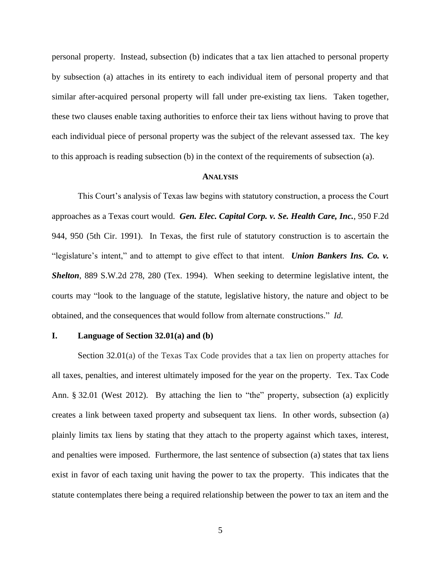personal property. Instead, subsection (b) indicates that a tax lien attached to personal property by subsection (a) attaches in its entirety to each individual item of personal property and that similar after-acquired personal property will fall under pre-existing tax liens. Taken together, these two clauses enable taxing authorities to enforce their tax liens without having to prove that each individual piece of personal property was the subject of the relevant assessed tax. The key to this approach is reading subsection (b) in the context of the requirements of subsection (a).

#### **ANALYSIS**

This Court's analysis of Texas law begins with statutory construction, a process the Court approaches as a Texas court would. *Gen. Elec. Capital Corp. v. Se. Health Care, Inc.*, 950 F.2d 944, 950 (5th Cir. 1991). In Texas, the first rule of statutory construction is to ascertain the "legislature's intent," and to attempt to give effect to that intent. *Union Bankers Ins. Co. v. Shelton*, 889 S.W.2d 278, 280 (Tex. 1994). When seeking to determine legislative intent, the courts may "look to the language of the statute, legislative history, the nature and object to be obtained, and the consequences that would follow from alternate constructions." *Id.*

#### **I. Language of Section 32.01(a) and (b)**

Section 32.01(a) of the Texas Tax Code provides that a tax lien on property attaches for all taxes, penalties, and interest ultimately imposed for the year on the property. Tex. Tax Code Ann. § 32.01 (West 2012). By attaching the lien to "the" property, subsection (a) explicitly creates a link between taxed property and subsequent tax liens. In other words, subsection (a) plainly limits tax liens by stating that they attach to the property against which taxes, interest, and penalties were imposed. Furthermore, the last sentence of subsection (a) states that tax liens exist in favor of each taxing unit having the power to tax the property. This indicates that the statute contemplates there being a required relationship between the power to tax an item and the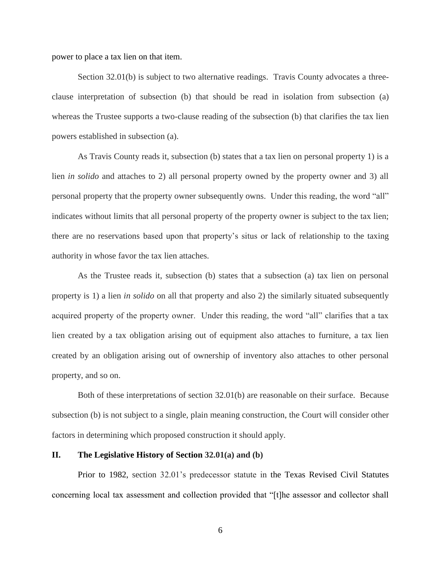power to place a tax lien on that item.

Section 32.01(b) is subject to two alternative readings. Travis County advocates a threeclause interpretation of subsection (b) that should be read in isolation from subsection (a) whereas the Trustee supports a two-clause reading of the subsection (b) that clarifies the tax lien powers established in subsection (a).

As Travis County reads it, subsection (b) states that a tax lien on personal property 1) is a lien *in solido* and attaches to 2) all personal property owned by the property owner and 3) all personal property that the property owner subsequently owns. Under this reading, the word "all" indicates without limits that all personal property of the property owner is subject to the tax lien; there are no reservations based upon that property's situs or lack of relationship to the taxing authority in whose favor the tax lien attaches.

As the Trustee reads it, subsection (b) states that a subsection (a) tax lien on personal property is 1) a lien *in solido* on all that property and also 2) the similarly situated subsequently acquired property of the property owner. Under this reading, the word "all" clarifies that a tax lien created by a tax obligation arising out of equipment also attaches to furniture, a tax lien created by an obligation arising out of ownership of inventory also attaches to other personal property, and so on.

Both of these interpretations of section 32.01(b) are reasonable on their surface. Because subsection (b) is not subject to a single, plain meaning construction, the Court will consider other factors in determining which proposed construction it should apply.

# **II. The Legislative History of Section 32.01(a) and (b)**

Prior to 1982, section 32.01's predecessor statute in the Texas Revised Civil Statutes concerning local tax assessment and collection provided that "[t]he assessor and collector shall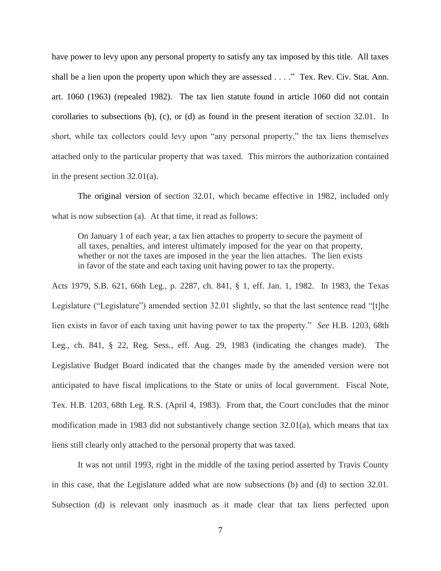have power to levy upon any personal property to satisfy any tax imposed by this title. All taxes shall be a lien upon the property upon which they are assessed . . . ." Tex. Rev. Civ. Stat. Ann. art. 1060 (1963) (repealed 1982). The tax lien statute found in article 1060 did not contain corollaries to subsections (b), (c), or (d) as found in the present iteration of section 32.01. In short, while tax collectors could levy upon "any personal property," the tax liens themselves attached only to the particular property that was taxed. This mirrors the authorization contained in the present section 32.01(a).

The original version of section 32.01, which became effective in 1982, included only what is now subsection (a). At that time, it read as follows:

On January 1 of each year, a tax lien attaches to property to secure the payment of all taxes, penalties, and interest ultimately imposed for the year on that property, whether or not the taxes are imposed in the year the lien attaches. The lien exists in favor of the state and each taxing unit having power to tax the property.

Acts 1979, S.B. 621, 66th Leg., p. 2287, ch. 841, § 1, eff. Jan. 1, 1982. In 1983, the Texas Legislature ("Legislature") amended section 32.01 slightly, so that the last sentence read "[t]he lien exists in favor of each taxing unit having power to tax the property." *See* H.B. 1203, 68th Leg., ch. 841, § 22, Reg. Sess., eff. Aug. 29, 1983 (indicating the changes made). The Legislative Budget Board indicated that the changes made by the amended version were not anticipated to have fiscal implications to the State or units of local government. Fiscal Note, Tex. H.B. 1203, 68th Leg. R.S. (April 4, 1983). From that, the Court concludes that the minor modification made in 1983 did not substantively change section 32.01(a), which means that tax liens still clearly only attached to the personal property that was taxed.

It was not until 1993, right in the middle of the taxing period asserted by Travis County in this case, that the Legislature added what are now subsections (b) and (d) to section 32.01. Subsection (d) is relevant only inasmuch as it made clear that tax liens perfected upon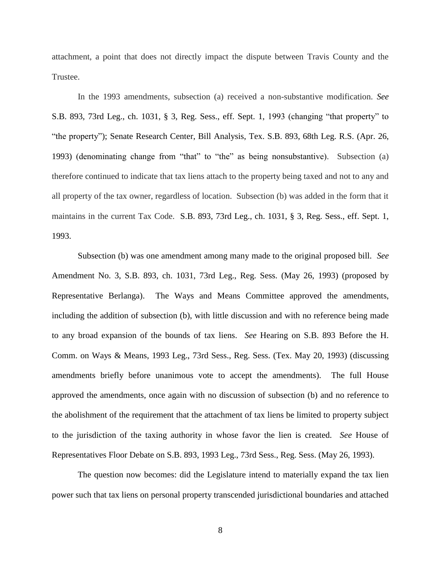attachment, a point that does not directly impact the dispute between Travis County and the Trustee.

In the 1993 amendments, subsection (a) received a non-substantive modification. *See*  S.B. 893, 73rd Leg., ch. 1031, § 3, Reg. Sess., eff. Sept. 1, 1993 (changing "that property" to "the property"); Senate Research Center, Bill Analysis, Tex. S.B. 893, 68th Leg. R.S. (Apr. 26, 1993) (denominating change from "that" to "the" as being nonsubstantive). Subsection (a) therefore continued to indicate that tax liens attach to the property being taxed and not to any and all property of the tax owner, regardless of location. Subsection (b) was added in the form that it maintains in the current Tax Code. S.B. 893, 73rd Leg., ch. 1031, § 3, Reg. Sess., eff. Sept. 1, 1993.

Subsection (b) was one amendment among many made to the original proposed bill. *See*  Amendment No. 3, S.B. 893, ch. 1031, 73rd Leg., Reg. Sess. (May 26, 1993) (proposed by Representative Berlanga). The Ways and Means Committee approved the amendments, including the addition of subsection (b), with little discussion and with no reference being made to any broad expansion of the bounds of tax liens. *See* Hearing on S.B. 893 Before the H. Comm. on Ways & Means, 1993 Leg., 73rd Sess., Reg. Sess. (Tex. May 20, 1993) (discussing amendments briefly before unanimous vote to accept the amendments). The full House approved the amendments, once again with no discussion of subsection (b) and no reference to the abolishment of the requirement that the attachment of tax liens be limited to property subject to the jurisdiction of the taxing authority in whose favor the lien is created. *See* House of Representatives Floor Debate on S.B. 893, 1993 Leg., 73rd Sess., Reg. Sess. (May 26, 1993).

The question now becomes: did the Legislature intend to materially expand the tax lien power such that tax liens on personal property transcended jurisdictional boundaries and attached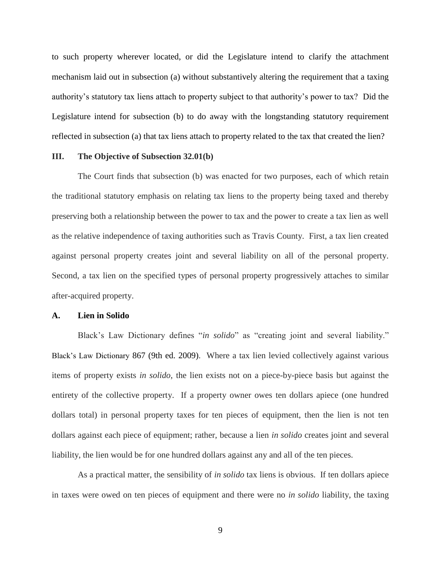to such property wherever located, or did the Legislature intend to clarify the attachment mechanism laid out in subsection (a) without substantively altering the requirement that a taxing authority's statutory tax liens attach to property subject to that authority's power to tax? Did the Legislature intend for subsection (b) to do away with the longstanding statutory requirement reflected in subsection (a) that tax liens attach to property related to the tax that created the lien?

# **III. The Objective of Subsection 32.01(b)**

The Court finds that subsection (b) was enacted for two purposes, each of which retain the traditional statutory emphasis on relating tax liens to the property being taxed and thereby preserving both a relationship between the power to tax and the power to create a tax lien as well as the relative independence of taxing authorities such as Travis County. First, a tax lien created against personal property creates joint and several liability on all of the personal property. Second, a tax lien on the specified types of personal property progressively attaches to similar after-acquired property.

### **A. Lien in Solido**

Black's Law Dictionary defines "*in solido*" as "creating joint and several liability." Black's Law Dictionary 867 (9th ed. 2009). Where a tax lien levied collectively against various items of property exists *in solido*, the lien exists not on a piece-by-piece basis but against the entirety of the collective property. If a property owner owes ten dollars apiece (one hundred dollars total) in personal property taxes for ten pieces of equipment, then the lien is not ten dollars against each piece of equipment; rather, because a lien *in solido* creates joint and several liability, the lien would be for one hundred dollars against any and all of the ten pieces.

As a practical matter, the sensibility of *in solido* tax liens is obvious. If ten dollars apiece in taxes were owed on ten pieces of equipment and there were no *in solido* liability, the taxing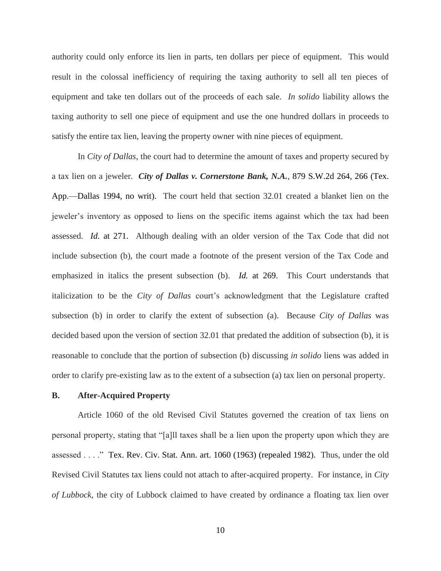authority could only enforce its lien in parts, ten dollars per piece of equipment. This would result in the colossal inefficiency of requiring the taxing authority to sell all ten pieces of equipment and take ten dollars out of the proceeds of each sale. *In solido* liability allows the taxing authority to sell one piece of equipment and use the one hundred dollars in proceeds to satisfy the entire tax lien, leaving the property owner with nine pieces of equipment.

In *City of Dallas*, the court had to determine the amount of taxes and property secured by a tax lien on a jeweler. *City of Dallas v. Cornerstone Bank, N.A.*, 879 S.W.2d 264, 266 (Tex. App.—Dallas 1994, no writ). The court held that section 32.01 created a blanket lien on the jeweler's inventory as opposed to liens on the specific items against which the tax had been assessed. *Id.* at 271. Although dealing with an older version of the Tax Code that did not include subsection (b), the court made a footnote of the present version of the Tax Code and emphasized in italics the present subsection (b). *Id.* at 269. This Court understands that italicization to be the *City of Dallas* court's acknowledgment that the Legislature crafted subsection (b) in order to clarify the extent of subsection (a). Because *City of Dallas* was decided based upon the version of section 32.01 that predated the addition of subsection (b), it is reasonable to conclude that the portion of subsection (b) discussing *in solido* liens was added in order to clarify pre-existing law as to the extent of a subsection (a) tax lien on personal property.

# **B. After-Acquired Property**

Article 1060 of the old Revised Civil Statutes governed the creation of tax liens on personal property, stating that "[a]ll taxes shall be a lien upon the property upon which they are assessed . . . ." Tex. Rev. Civ. Stat. Ann. art. 1060 (1963) (repealed 1982). Thus, under the old Revised Civil Statutes tax liens could not attach to after-acquired property. For instance, in *City of Lubbock*, the city of Lubbock claimed to have created by ordinance a floating tax lien over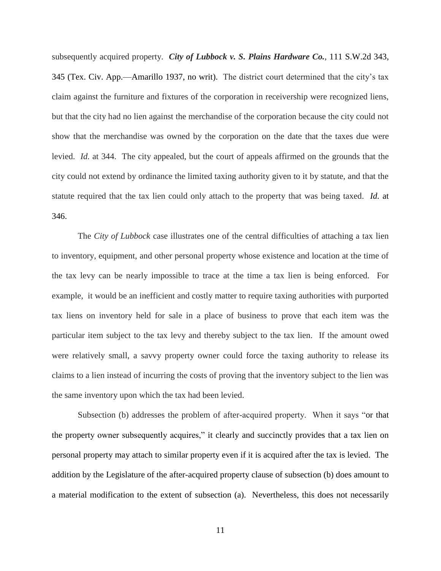subsequently acquired property. *City of Lubbock v. S. Plains Hardware Co.*, 111 S.W.2d 343, 345 (Tex. Civ. App.—Amarillo 1937, no writ). The district court determined that the city's tax claim against the furniture and fixtures of the corporation in receivership were recognized liens, but that the city had no lien against the merchandise of the corporation because the city could not show that the merchandise was owned by the corporation on the date that the taxes due were levied. *Id.* at 344. The city appealed, but the court of appeals affirmed on the grounds that the city could not extend by ordinance the limited taxing authority given to it by statute, and that the statute required that the tax lien could only attach to the property that was being taxed. *Id.* at 346.

The *City of Lubbock* case illustrates one of the central difficulties of attaching a tax lien to inventory, equipment, and other personal property whose existence and location at the time of the tax levy can be nearly impossible to trace at the time a tax lien is being enforced. For example, it would be an inefficient and costly matter to require taxing authorities with purported tax liens on inventory held for sale in a place of business to prove that each item was the particular item subject to the tax levy and thereby subject to the tax lien. If the amount owed were relatively small, a savvy property owner could force the taxing authority to release its claims to a lien instead of incurring the costs of proving that the inventory subject to the lien was the same inventory upon which the tax had been levied.

Subsection (b) addresses the problem of after-acquired property. When it says "or that the property owner subsequently acquires," it clearly and succinctly provides that a tax lien on personal property may attach to similar property even if it is acquired after the tax is levied. The addition by the Legislature of the after-acquired property clause of subsection (b) does amount to a material modification to the extent of subsection (a). Nevertheless, this does not necessarily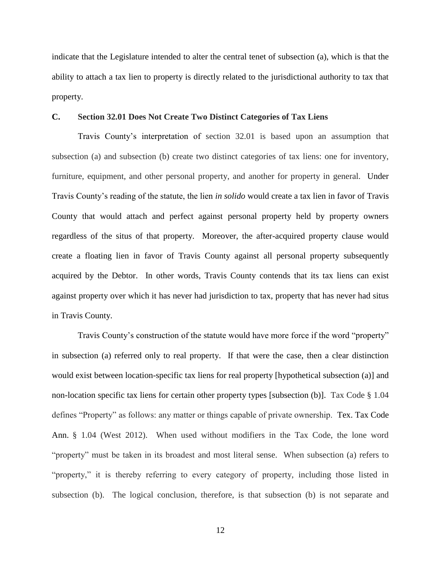indicate that the Legislature intended to alter the central tenet of subsection (a), which is that the ability to attach a tax lien to property is directly related to the jurisdictional authority to tax that property.

## **C. Section 32.01 Does Not Create Two Distinct Categories of Tax Liens**

Travis County's interpretation of section 32.01 is based upon an assumption that subsection (a) and subsection (b) create two distinct categories of tax liens: one for inventory, furniture, equipment, and other personal property, and another for property in general. Under Travis County's reading of the statute, the lien *in solido* would create a tax lien in favor of Travis County that would attach and perfect against personal property held by property owners regardless of the situs of that property. Moreover, the after-acquired property clause would create a floating lien in favor of Travis County against all personal property subsequently acquired by the Debtor. In other words, Travis County contends that its tax liens can exist against property over which it has never had jurisdiction to tax, property that has never had situs in Travis County.

Travis County's construction of the statute would have more force if the word "property" in subsection (a) referred only to real property. If that were the case, then a clear distinction would exist between location-specific tax liens for real property [hypothetical subsection (a)] and non-location specific tax liens for certain other property types [subsection (b)]. Tax Code § 1.04 defines "Property" as follows: any matter or things capable of private ownership. Tex. Tax Code Ann. § 1.04 (West 2012). When used without modifiers in the Tax Code, the lone word "property" must be taken in its broadest and most literal sense. When subsection (a) refers to "property," it is thereby referring to every category of property, including those listed in subsection (b). The logical conclusion, therefore, is that subsection (b) is not separate and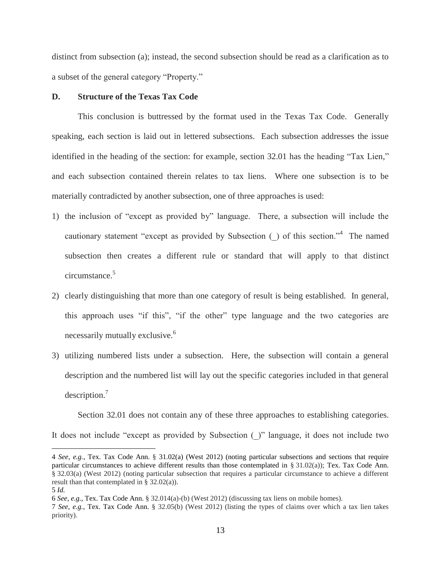distinct from subsection (a); instead, the second subsection should be read as a clarification as to a subset of the general category "Property."

# **D. Structure of the Texas Tax Code**

This conclusion is buttressed by the format used in the Texas Tax Code. Generally speaking, each section is laid out in lettered subsections. Each subsection addresses the issue identified in the heading of the section: for example, section 32.01 has the heading "Tax Lien," and each subsection contained therein relates to tax liens. Where one subsection is to be materially contradicted by another subsection, one of three approaches is used:

- 1) the inclusion of "except as provided by" language. There, a subsection will include the cautionary statement "except as provided by Subsection  $\bigcup$  of this section."<sup>4</sup> The named subsection then creates a different rule or standard that will apply to that distinct circumstance.<sup>5</sup>
- 2) clearly distinguishing that more than one category of result is being established. In general, this approach uses "if this", "if the other" type language and the two categories are necessarily mutually exclusive.<sup>6</sup>
- 3) utilizing numbered lists under a subsection. Here, the subsection will contain a general description and the numbered list will lay out the specific categories included in that general description.<sup>7</sup>

Section 32.01 does not contain any of these three approaches to establishing categories.

It does not include "except as provided by Subsection (\_)" language, it does not include two

 $\overline{a}$ 

<sup>4</sup> *See, e.g.*, Tex. Tax Code Ann. § 31.02(a) (West 2012) (noting particular subsections and sections that require particular circumstances to achieve different results than those contemplated in § 31.02(a)); Tex. Tax Code Ann. § 32.03(a) (West 2012) (noting particular subsection that requires a particular circumstance to achieve a different result than that contemplated in § 32.02(a)).

<sup>5</sup> *Id.*

<sup>6</sup> *See, e.g.*, Tex. Tax Code Ann. § 32.014(a)-(b) (West 2012) (discussing tax liens on mobile homes).

<sup>7</sup> *See, e.g.*, Tex. Tax Code Ann. § 32.05(b) (West 2012) (listing the types of claims over which a tax lien takes priority).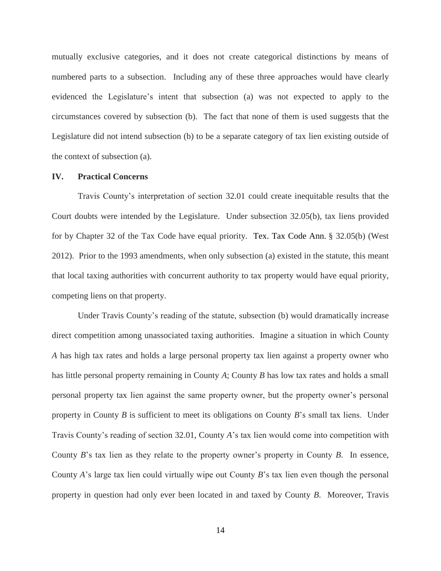mutually exclusive categories, and it does not create categorical distinctions by means of numbered parts to a subsection. Including any of these three approaches would have clearly evidenced the Legislature's intent that subsection (a) was not expected to apply to the circumstances covered by subsection (b). The fact that none of them is used suggests that the Legislature did not intend subsection (b) to be a separate category of tax lien existing outside of the context of subsection (a).

#### **IV. Practical Concerns**

Travis County's interpretation of section 32.01 could create inequitable results that the Court doubts were intended by the Legislature. Under subsection 32.05(b), tax liens provided for by Chapter 32 of the Tax Code have equal priority. Tex. Tax Code Ann. § 32.05(b) (West 2012). Prior to the 1993 amendments, when only subsection (a) existed in the statute, this meant that local taxing authorities with concurrent authority to tax property would have equal priority, competing liens on that property.

Under Travis County's reading of the statute, subsection (b) would dramatically increase direct competition among unassociated taxing authorities. Imagine a situation in which County *A* has high tax rates and holds a large personal property tax lien against a property owner who has little personal property remaining in County *A*; County *B* has low tax rates and holds a small personal property tax lien against the same property owner, but the property owner's personal property in County *B* is sufficient to meet its obligations on County *B*'s small tax liens. Under Travis County's reading of section 32.01, County *A*'s tax lien would come into competition with County *B*'s tax lien as they relate to the property owner's property in County *B*. In essence, County *A*'s large tax lien could virtually wipe out County *B*'s tax lien even though the personal property in question had only ever been located in and taxed by County *B*. Moreover, Travis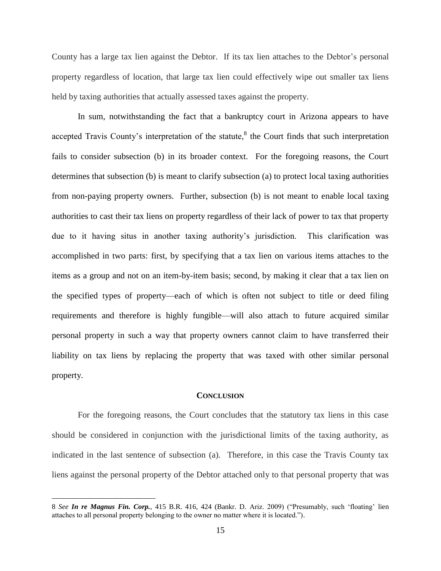County has a large tax lien against the Debtor. If its tax lien attaches to the Debtor's personal property regardless of location, that large tax lien could effectively wipe out smaller tax liens held by taxing authorities that actually assessed taxes against the property.

In sum, notwithstanding the fact that a bankruptcy court in Arizona appears to have accepted Travis County's interpretation of the statute, ${}^{8}$  the Court finds that such interpretation fails to consider subsection (b) in its broader context. For the foregoing reasons, the Court determines that subsection (b) is meant to clarify subsection (a) to protect local taxing authorities from non-paying property owners. Further, subsection (b) is not meant to enable local taxing authorities to cast their tax liens on property regardless of their lack of power to tax that property due to it having situs in another taxing authority's jurisdiction. This clarification was accomplished in two parts: first, by specifying that a tax lien on various items attaches to the items as a group and not on an item-by-item basis; second, by making it clear that a tax lien on the specified types of property—each of which is often not subject to title or deed filing requirements and therefore is highly fungible—will also attach to future acquired similar personal property in such a way that property owners cannot claim to have transferred their liability on tax liens by replacing the property that was taxed with other similar personal property.

#### **CONCLUSION**

For the foregoing reasons, the Court concludes that the statutory tax liens in this case should be considered in conjunction with the jurisdictional limits of the taxing authority, as indicated in the last sentence of subsection (a). Therefore, in this case the Travis County tax liens against the personal property of the Debtor attached only to that personal property that was

 $\overline{a}$ 

<sup>8</sup> *See In re Magnus Fin. Corp.*, 415 B.R. 416, 424 (Bankr. D. Ariz. 2009) ("Presumably, such 'floating' lien attaches to all personal property belonging to the owner no matter where it is located.").